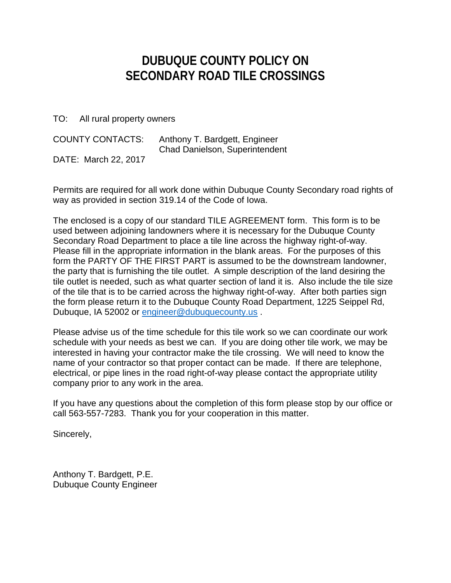## **DUBUQUE COUNTY POLICY ON SECONDARY ROAD TILE CROSSINGS**

TO: All rural property owners

| <b>COUNTY CONTACTS:</b> | Anthony T. Bardgett, Engineer<br>Chad Danielson, Superintendent |
|-------------------------|-----------------------------------------------------------------|
| DATE: March 22, 2017    |                                                                 |

Permits are required for all work done within Dubuque County Secondary road rights of way as provided in section 319.14 of the Code of Iowa.

The enclosed is a copy of our standard TILE AGREEMENT form. This form is to be used between adjoining landowners where it is necessary for the Dubuque County Secondary Road Department to place a tile line across the highway right-of-way. Please fill in the appropriate information in the blank areas. For the purposes of this form the PARTY OF THE FIRST PART is assumed to be the downstream landowner, the party that is furnishing the tile outlet. A simple description of the land desiring the tile outlet is needed, such as what quarter section of land it is. Also include the tile size of the tile that is to be carried across the highway right-of-way. After both parties sign the form please return it to the Dubuque County Road Department, 1225 Seippel Rd, Dubuque, IA 52002 or engineer@dubuquecounty.us .

Please advise us of the time schedule for this tile work so we can coordinate our work schedule with your needs as best we can. If you are doing other tile work, we may be interested in having your contractor make the tile crossing. We will need to know the name of your contractor so that proper contact can be made. If there are telephone, electrical, or pipe lines in the road right-of-way please contact the appropriate utility company prior to any work in the area.

If you have any questions about the completion of this form please stop by our office or call 563-557-7283. Thank you for your cooperation in this matter.

Sincerely,

Anthony T. Bardgett, P.E. Dubuque County Engineer